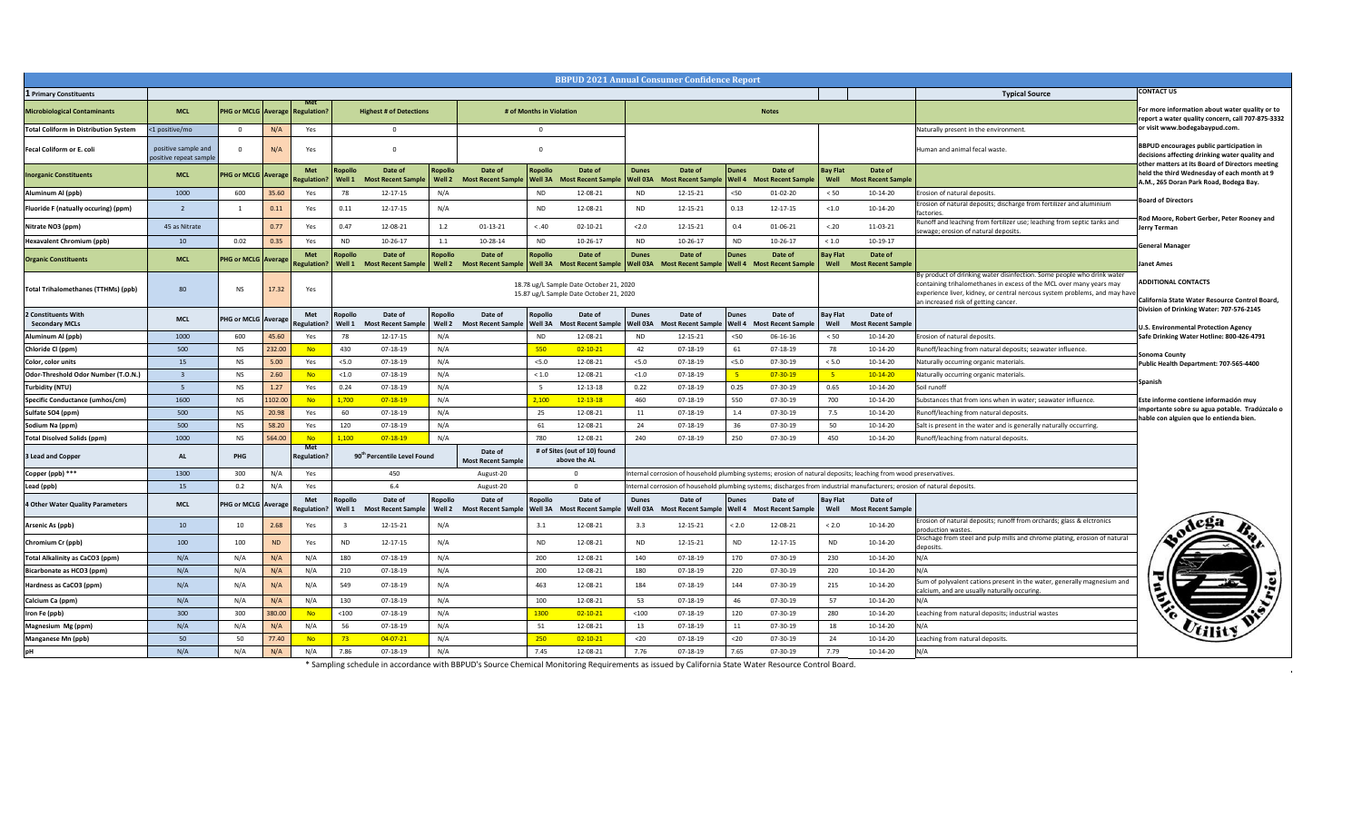**Exate Control Board, Division of Drinking Water: 707-576-2145**

**Protection Agency Safe Drinking Water Hotline: 800-426-4791**

|                                              |                                               |                                        |           |                                  |                          |                                         |                   |                                         |                                           | <b>BBPUD 2021 Annual Consumer Confidence Report</b>                                |                                 |                                                                                                                          |                                        |                                                |                         |                                      |                                                                                                                                                                                                                                                                       |                                                                                                                             |
|----------------------------------------------|-----------------------------------------------|----------------------------------------|-----------|----------------------------------|--------------------------|-----------------------------------------|-------------------|-----------------------------------------|-------------------------------------------|------------------------------------------------------------------------------------|---------------------------------|--------------------------------------------------------------------------------------------------------------------------|----------------------------------------|------------------------------------------------|-------------------------|--------------------------------------|-----------------------------------------------------------------------------------------------------------------------------------------------------------------------------------------------------------------------------------------------------------------------|-----------------------------------------------------------------------------------------------------------------------------|
| 1 Primary Constituents                       |                                               |                                        |           |                                  |                          |                                         |                   |                                         |                                           |                                                                                    |                                 |                                                                                                                          |                                        |                                                |                         |                                      | <b>Typical Source</b>                                                                                                                                                                                                                                                 | <b>CONTACT US</b>                                                                                                           |
| <b>Microbiological Contaminants</b>          | <b>MCL</b>                                    | <b>PHG or MCLG Average Regulation?</b> |           | <b>Met</b>                       |                          | <b>Highest # of Detections</b>          |                   | # of Months in Violation                |                                           |                                                                                    | <b>Notes</b>                    |                                                                                                                          |                                        |                                                |                         |                                      |                                                                                                                                                                                                                                                                       | For more information about water qual<br>report a water quality concern, call 707-                                          |
| <b>Total Coliform in Distribution System</b> | 1 positive/mo                                 |                                        | N/A       | Yes                              |                          |                                         |                   |                                         |                                           |                                                                                    |                                 |                                                                                                                          |                                        |                                                |                         |                                      | Naturally present in the environment.                                                                                                                                                                                                                                 | or visit www.bodegabaypud.com.                                                                                              |
| <b>Fecal Coliform or E. coli</b>             | positive sample and<br>positive repeat sample |                                        | N/A       | Yes                              |                          |                                         |                   |                                         |                                           |                                                                                    |                                 |                                                                                                                          |                                        |                                                |                         |                                      | Human and animal fecal waste.                                                                                                                                                                                                                                         | <b>BBPUD encourages public participation</b><br>decisions affecting drinking water qualit                                   |
| <b>Inorganic Constituents</b>                | <b>MCL</b>                                    | <b>PHG or MCLG Average Regulation?</b> |           | <b>Met</b>                       | <b>Ropollo</b><br>Well 1 | Date of<br><b>Most Recent Sample</b>    | Ropollo<br>Well 2 | Date of<br><b>Most Recent Sample</b>    | <b>Ropollo</b><br>$\sqrt{\text{Well 3A}}$ | Date of<br><b>Recent Sample</b><br><b>Most</b>                                     | <b>Dunes</b><br><b>Well 03A</b> | Date of<br>Most Recent Sample                                                                                            | <b>Dunes</b><br>$\sqrt{\text{Well 4}}$ | Date of<br><b>Most</b><br><b>Recent Sample</b> | <b>Bay Flat</b><br>Well | Date of<br><b>Most Recent Sample</b> |                                                                                                                                                                                                                                                                       | other matters at its Board of Directors n<br>held the third Wednesday of each mont<br>A.M., 265 Doran Park Road, Bodega Bay |
| <b>Aluminum Al (ppb)</b>                     | 1000                                          | 600                                    | 35.60     | Yes                              | 78                       | 12-17-15                                | N/A               |                                         | <b>ND</b>                                 | 12-08-21                                                                           | <b>ND</b>                       | 12-15-21                                                                                                                 | $50$                                   | 01-02-20                                       | < 50                    | 10-14-20                             | Erosion of natural deposits.                                                                                                                                                                                                                                          |                                                                                                                             |
| <b>Fluoride F (natually occuring) (ppm)</b>  |                                               |                                        | 0.11      | Yes                              | 0.11                     | 12-17-15                                | N/A               |                                         | <b>ND</b>                                 | 12-08-21                                                                           | <b>ND</b>                       | 12-15-21                                                                                                                 | 0.13                                   | $12 - 17 - 15$                                 | < 1.0                   | 10-14-20                             | Erosion of natural deposits; discharge from fertilizer and aluminium<br>factories.                                                                                                                                                                                    | <b>Board of Directors</b>                                                                                                   |
| Nitrate NO3 (ppm)                            | 45 as Nitrate                                 |                                        | 0.77      | Yes                              | 0.47                     | 12-08-21                                | 1.2               | $01-13-21$                              | < .40                                     | 02-10-21                                                                           | < 2.0                           | 12-15-21                                                                                                                 | 0.4                                    | 01-06-21                                       | < .20                   | 11-03-21                             | Runoff and leaching from fertilizer use; leaching from septic tanks and<br>sewage; erosion of natural deposits.                                                                                                                                                       | Rod Moore, Robert Gerber, Peter Roone<br>Jerry Terman                                                                       |
| <b>Hexavalent Chromium (ppb)</b>             | 10                                            | 0.02                                   | 0.35      | Yes                              | <b>ND</b>                | 10-26-17                                |                   | 10-28-14                                | <b>ND</b>                                 | $10-26-17$                                                                         | <b>ND</b>                       | $10-26-17$                                                                                                               | <b>ND</b>                              | $10-26-17$                                     | < 1.0                   | $10-19-17$                           |                                                                                                                                                                                                                                                                       | <b>General Manager</b>                                                                                                      |
| <b>Organic Constituents</b>                  | <b>MCL</b>                                    | <b>PHG or MCLG Average</b>             |           | <b>Met</b><br><b>Regulation?</b> | <b>Ropollo</b>           | Date of<br>Most Recent Sample   Well 2  | <b>Ropollo</b>    | Date of<br>Most Recent Sample   Well 3A | <b>Ropollo</b>                            | Date of<br>Most Recent Sample   Well 03A                                           | <b>Dunes</b>                    | Date of<br>Most Recent Sample   Well 4                                                                                   | <b>Dunes</b>                           | Date of<br><b>Most Recent Sample</b>           | Bay Flat<br>Well        | Date of<br><b>Most Recent Sample</b> |                                                                                                                                                                                                                                                                       | Janet Ames                                                                                                                  |
| <b>Total Trihalomethanes (TTHMs) (ppb)</b>   | 80                                            | <b>NS</b>                              | 17.32     | Yes                              |                          |                                         |                   |                                         |                                           | 18.78 ug/L Sample Date October 21, 2020<br>15.87 ug/L Sample Date October 21, 2020 |                                 |                                                                                                                          |                                        |                                                |                         |                                      | By product of drinking water disinfection. Some people who drink water<br>containing trihalomethanes in excess of the MCL over many years may<br>[experience liver, kidney, or central nercous system problems, and may have]<br>an increased risk of getting cancer. | <b>ADDITIONAL CONTACTS</b><br><b>California State Water Resource Control</b>                                                |
| 2 Constituents With<br><b>Secondary MCLs</b> | <b>MCL</b>                                    | PHG or MCLG   Average                  |           | <b>Met</b><br><b>Regulation?</b> | <b>Ropollo</b><br>Well 1 | Date of<br><b>Most Recent Sample</b>    | Ropollo<br>Well 2 | Date of<br><b>Most Recent Sample</b>    | Ropollo<br>  Well 3A                      | Date of<br><b>Most Recent Sample</b>                                               | <b>Dunes</b><br>Well 03A        | Date of<br>Most Recent Sample                                                                                            | <b>Dunes</b><br>$\sqrt{\text{Well 4}}$ | Date of<br><b>Most</b><br>t Recent Sample      | <b>Bay Flat</b><br>Well | Date of<br><b>Most Recent Sample</b> |                                                                                                                                                                                                                                                                       | Division of Drinking Water: 707-576-214<br><b>U.S. Environmental Protection Agency</b>                                      |
| <b>Aluminum Al (ppb)</b>                     | 1000                                          | 600                                    | 45.60     | Yes                              | 78                       | 12-17-15                                | N/A               |                                         | <b>ND</b>                                 | 12-08-21                                                                           | <b>ND</b>                       | 12-15-21                                                                                                                 | $50$                                   | 06-16-16                                       | < 50                    | 10-14-20                             | Erosion of natural deposits.                                                                                                                                                                                                                                          | Safe Drinking Water Hotline: 800-426-47                                                                                     |
| Chloride Cl (ppm)                            | 500                                           | <b>NS</b>                              | 232.00    | <b>No</b>                        | 430                      | 07-18-19                                | N/A               |                                         | 550                                       | $02 - 10 - 21$                                                                     | 42                              | $07-18-19$                                                                                                               | 61                                     | 07-18-19                                       | 78                      | 10-14-20                             | Runoff/leaching from natural deposits; seawater influence.                                                                                                                                                                                                            | <b>Sonoma County</b>                                                                                                        |
| Color, color units                           | 15                                            | <b>NS</b>                              | 5.00      | Yes                              | 5.0                      | 07-18-19                                | N/A               |                                         | < 5.0                                     | 12-08-21                                                                           | < 5.0                           | $07-18-19$                                                                                                               | < 5.0                                  | 07-30-19                                       | < 5.0                   | 10-14-20                             | Naturally occurring organic materials.                                                                                                                                                                                                                                | Public Health Department: 707-565-440                                                                                       |
| <b>Odor-Threshold Odor Number (T.O.N.)</b>   |                                               | <b>NS</b>                              | 2.60      |                                  | < 1.0                    | 07-18-19                                | N/A               |                                         | < 1.0                                     | 12-08-21                                                                           | < 1.0                           | 07-18-19                                                                                                                 |                                        | $07 - 30 - 19$                                 |                         | $10 - 14 - 20$                       | Naturally occurring organic materials.                                                                                                                                                                                                                                | <b>Spanish</b>                                                                                                              |
| <b>Turbidity (NTU)</b>                       |                                               | <b>NS</b>                              | 1.27      | Yes                              | 0.24                     | 07-18-19                                | N/A               |                                         |                                           | 12-13-18                                                                           | 0.22                            | 07-18-19                                                                                                                 | 0.25                                   | 07-30-19                                       | 0.65                    | 10-14-20                             | Soil runoff                                                                                                                                                                                                                                                           |                                                                                                                             |
| <b>Specific Conductance (umhos/cm)</b>       | 1600                                          | <b>NS</b>                              | 1102.00   | <b>No</b>                        | 1,700                    | $07 - 18 - 19$                          | N/A               |                                         | 2,100                                     | $12 - 13 - 18$                                                                     | 460                             | $07-18-19$                                                                                                               | 550                                    | 07-30-19                                       | 700                     | 10-14-20                             | Substances that from ions when in water; seawater influence.                                                                                                                                                                                                          | Este informe contiene información muy<br>importante sobre su agua potable. Trad                                             |
| Sulfate SO4 (ppm)                            | 500                                           | <b>NS</b>                              | 20.98     | Yes                              | 60                       | 07-18-19                                | N/A               |                                         | 25                                        | 12-08-21                                                                           |                                 | 07-18-19                                                                                                                 | 1.4                                    | 07-30-19                                       | 7.5                     | 10-14-20                             | Runoff/leaching from natural deposits.                                                                                                                                                                                                                                | hable con alguien que lo entienda bien.                                                                                     |
| Sodium Na (ppm)                              | 500                                           | <b>NS</b>                              | 58.20     | Yes                              | 120                      | 07-18-19                                | N/A               |                                         | 61                                        | 12-08-21                                                                           | 24                              | 07-18-19                                                                                                                 |                                        | 07-30-19                                       | 50                      | 10-14-20                             | Salt is present in the water and is generally naturally occurring.                                                                                                                                                                                                    |                                                                                                                             |
| <b>Total Disolved Solids (ppm)</b>           | 1000                                          | <b>NS</b>                              | 564.00    | <b>No</b><br>Met                 | 1,100                    | $07 - 18 - 19$                          | N/A               |                                         | 780                                       | 12-08-21                                                                           | 240                             | 07-18-19                                                                                                                 | 250                                    | 07-30-19                                       | 450                     | 10-14-20                             | Runoff/leaching from natural deposits.                                                                                                                                                                                                                                |                                                                                                                             |
| 3 Lead and Copper                            | <b>AL</b>                                     | <b>PHG</b>                             |           | <b>Regulation?</b>               |                          | 90 <sup>th</sup> Percentile Level Found |                   | Date of<br><b>Most Recent Sample</b>    |                                           | # of Sites (out of 10) found<br>above the AL                                       |                                 |                                                                                                                          |                                        |                                                |                         |                                      |                                                                                                                                                                                                                                                                       |                                                                                                                             |
| Copper (ppb) ***                             | 1300                                          | 300                                    | N/A       | Yes                              |                          | 450                                     |                   | August-20                               |                                           |                                                                                    |                                 | Internal corrosion of household plumbing systems; erosion of natural deposits; leaching from wood preservatives.         |                                        |                                                |                         |                                      |                                                                                                                                                                                                                                                                       |                                                                                                                             |
| Lead (ppb)                                   | 15                                            | 0.2                                    | N/A       | Yes                              |                          | 6.4                                     |                   | August-20                               |                                           |                                                                                    |                                 | Internal corrosion of household plumbing systems; discharges from industrial manufacturers; erosion of natural deposits. |                                        |                                                |                         |                                      |                                                                                                                                                                                                                                                                       |                                                                                                                             |
| 4 Other Water Quality Parameters             | <b>MCL</b>                                    | <b>PHG or MCLG Average Regulation?</b> |           | <b>Met</b>                       | <b>Ropollo</b>           | Date of<br>Well 1 Most Recent Sample    | Ropollo<br>Well 2 | Date of<br><b>Most Recent Sample</b>    | <b>Ropollo</b>                            | Date of<br><b>Well 3A</b> Most Recent Sample                                       | <b>Dunes</b><br><b>Well 03A</b> | Date of<br>Most Recent Sample   Well 4    Most Recent Sample                                                             | <b>Dunes</b>                           | Date of                                        | Bay Flat<br>Well        | Date of<br><b>Most Recent Sample</b> |                                                                                                                                                                                                                                                                       |                                                                                                                             |
| <b>Arsenic As (ppb)</b>                      | 10                                            | 10                                     | 2.68      | Yes                              |                          | $12 - 15 - 21$                          | N/A               |                                         | 3.1                                       | 12-08-21                                                                           | 3.3                             | 12-15-21                                                                                                                 | < 2.0                                  | 12-08-21                                       | < 2.0                   | 10-14-20                             | Erosion of natural deposits; runoff from orchards; glass & elctronics<br>Iproduction wastes.                                                                                                                                                                          | $A$ ega                                                                                                                     |
| <b>Chromium Cr (ppb)</b>                     | 100                                           | 100                                    | <b>ND</b> | Yes                              | <b>ND</b>                | 12-17-15                                | N/A               |                                         | <b>ND</b>                                 | 12-08-21                                                                           | <b>ND</b>                       | 12-15-21                                                                                                                 | <b>ND</b>                              | $12 - 17 - 15$                                 | <b>ND</b>               | 10-14-20                             | Dischage from steel and pulp mills and chrome plating, erosion of natural<br><b>deposits</b>                                                                                                                                                                          |                                                                                                                             |
| <b>Total Alkalinity as CaCO3 (ppm)</b>       | N/A                                           | N/A                                    | N/A       | N/A                              | 180                      | 07-18-19                                | N/A               |                                         | 200                                       | 12-08-21                                                                           | 140                             | 07-18-19                                                                                                                 | 170                                    | 07-30-19                                       | 230                     | 10-14-20                             |                                                                                                                                                                                                                                                                       |                                                                                                                             |
| Bicarbonate as HCO3 (ppm)                    | N/A                                           | N/A                                    | N/A       | N/A                              | 210                      | 07-18-19                                | N/A               |                                         | 200                                       | 12-08-21                                                                           | 180                             | $07-18-19$                                                                                                               | 220                                    | 07-30-19                                       | 220                     | 10-14-20                             |                                                                                                                                                                                                                                                                       |                                                                                                                             |
| Hardness as CaCO3 (ppm)                      | N/A                                           | N/A                                    | N/A       | N/A                              | 549                      | 07-18-19                                | N/A               |                                         | 463                                       | 12-08-21                                                                           | 184                             | 07-18-19                                                                                                                 | 144                                    | 07-30-19                                       | 215                     | 10-14-20                             | Sum of polyvalent cations present in the water, generally magnesium and<br>calcium, and are usually naturally occuring.                                                                                                                                               |                                                                                                                             |
| Calcium Ca (ppm)                             | N/A                                           | N/A                                    | N/A       | N/A                              | 130                      | 07-18-19                                | N/A               |                                         | 100                                       | 12-08-21                                                                           | 53                              | 07-18-19                                                                                                                 | 46                                     | 07-30-19                                       | 57                      | 10-14-20                             |                                                                                                                                                                                                                                                                       |                                                                                                                             |
| <b>Iron Fe (ppb)</b>                         | 300                                           | 300                                    | 380.00    | <b>No</b>                        | $<100$                   | 07-18-19                                | N/A               |                                         | 1300                                      | $02 - 10 - 21$                                                                     | $<$ 100                         | 07-18-19                                                                                                                 | 120                                    | 07-30-19                                       | 280                     | 10-14-20                             | Leaching from natural deposits; industrial wastes                                                                                                                                                                                                                     |                                                                                                                             |
| Magnesium Mg (ppm)                           | N/A                                           | N/A                                    | N/A       | N/A                              | 56                       | 07-18-19                                | N/A               |                                         | 51                                        | 12-08-21                                                                           | 13                              | 07-18-19                                                                                                                 |                                        | 07-30-19                                       | 18                      | 10-14-20                             |                                                                                                                                                                                                                                                                       |                                                                                                                             |
| <b>Manganese Mn (ppb)</b>                    | 50                                            | 50                                     | 77.40     | <b>No</b>                        | 73                       | $04 - 07 - 21$                          | N/A               |                                         | 250                                       | $02 - 10 - 21$                                                                     | $20$                            | 07-18-19                                                                                                                 | $20$                                   | 07-30-19                                       | 24                      | 10-14-20                             | Leaching from natural deposits.                                                                                                                                                                                                                                       |                                                                                                                             |
|                                              | N/A                                           | N/A                                    | N/A       | N/A                              | 7.86                     | 07-18-19                                | N/A               |                                         | 7.45                                      | 12-08-21                                                                           | 7.76                            | 07-18-19                                                                                                                 | 7.65                                   | 07-30-19                                       | 7.79                    | 10-14-20                             |                                                                                                                                                                                                                                                                       |                                                                                                                             |

\* Sampling schedule in accordance with BBPUD's Source Chemical Monitoring Requirements as issued by California State Water Resource Control Board.



 $\sim 10^5$ 

### **n** about water quality or to **report a water quality concern, call 707-875-3332**  abaypud.com.

**BBPUD encourages public participation in dinking water quality and Board of Directors meeting esday of each month at 9 A.M., 265 Doran Park Road, Bodega Bay.**

**Gerber, Peter Rooney and** 

**Public Health Department: 707-565-4400**

**importante sobre su agua potable. Tradúzcalo o**